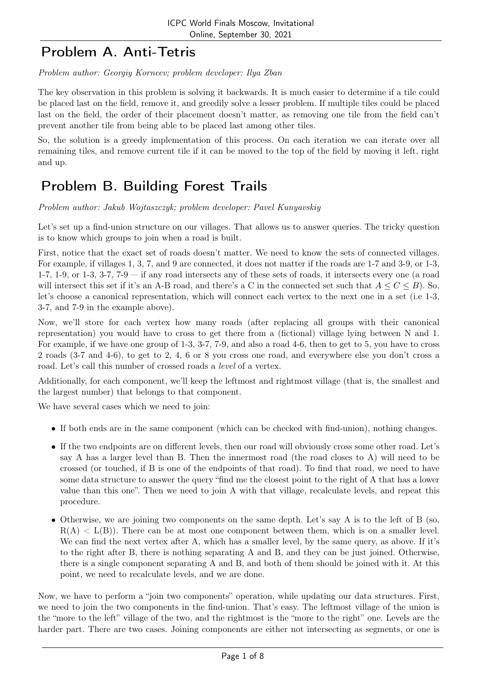### Problem A. Anti-Tetris

Problem author: Georgiy Korneev; problem developer: Ilya Zban

The key observation in this problem is solving it backwards. It is much easier to determine if a tile could be placed last on the field, remove it, and greedily solve a lesser problem. If multiple tiles could be placed last on the field, the order of their placement doesn't matter, as removing one tile from the field can't prevent another tile from being able to be placed last among other tiles.

So, the solution is a greedy implementation of this process. On each iteration we can iterate over all remaining tiles, and remove current tile if it can be moved to the top of the field by moving it left, right and up.

## Problem B. Building Forest Trails

Problem author: Jakub Wojtaszczyk; problem developer: Pavel Kunyavskiy

Let's set up a find-union structure on our villages. That allows us to answer queries. The tricky question is to know which groups to join when a road is built.

First, notice that the exact set of roads doesn't matter. We need to know the sets of connected villages. For example, if villages 1, 3, 7, and 9 are connected, it does not matter if the roads are 1-7 and 3-9, or 1-3, 1-7, 1-9, or 1-3, 3-7,  $7$ -9  $-$  if any road intersects any of these sets of roads, it intersects every one (a road will intersect this set if it's an A-B road, and there's a C in the connected set such that  $A \leq C \leq B$ ). So, let's choose a canonical representation, which will connect each vertex to the next one in a set (i.e 1-3, 3-7, and 7-9 in the example above).

Now, we'll store for each vertex how many roads (after replacing all groups with their canonical representation) you would have to cross to get there from a (fictional) village lying between N and 1. For example, if we have one group of 1-3, 3-7, 7-9, and also a road 4-6, then to get to 5, you have to cross 2 roads (3-7 and 4-6), to get to 2, 4, 6 or 8 you cross one road, and everywhere else you don't cross a road. Let's call this number of crossed roads a level of a vertex.

Additionally, for each component, we'll keep the leftmost and rightmost village (that is, the smallest and the largest number) that belongs to that component.

We have several cases which we need to join:

- If both ends are in the same component (which can be checked with find-union), nothing changes.
- If the two endpoints are on different levels, then our road will obviously cross some other road. Let's say A has a larger level than B. Then the innermost road (the road closes to A) will need to be crossed (or touched, if B is one of the endpoints of that road). To find that road, we need to have some data structure to answer the query "find me the closest point to the right of A that has a lower value than this one". Then we need to join A with that village, recalculate levels, and repeat this procedure.
- Otherwise, we are joining two components on the same depth. Let's say A is to the left of B (so,  $R(A) < L(B)$ ). There can be at most one component between them, which is on a smaller level. We can find the next vertex after A, which has a smaller level, by the same query, as above. If it's to the right after B, there is nothing separating A and B, and they can be just joined. Otherwise, there is a single component separating A and B, and both of them should be joined with it. At this point, we need to recalculate levels, and we are done.

Now, we have to perform a "join two components" operation, while updating our data structures. First, we need to join the two components in the find-union. That's easy. The leftmost village of the union is the "more to the left" village of the two, and the rightmost is the "more to the right" one. Levels are the harder part. There are two cases. Joining components are either not intersecting as segments, or one is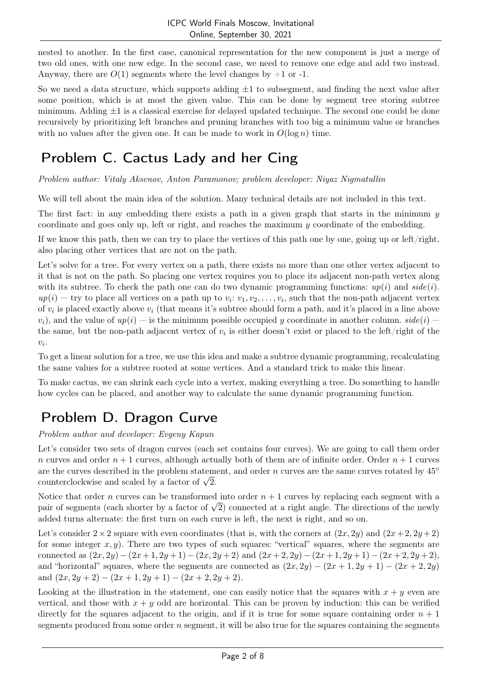nested to another. In the first case, canonical representation for the new component is just a merge of two old ones, with one new edge. In the second case, we need to remove one edge and add two instead. Anyway, there are  $O(1)$  segments where the level changes by  $+1$  or  $-1$ .

So we need a data structure, which supports adding  $\pm 1$  to subsegment, and finding the next value after some position, which is at most the given value. This can be done by segment tree storing subtree minimum. Adding  $\pm 1$  is a classical exercise for delayed updated technique. The second one could be done recursively by prioritizing left branches and pruning branches with too big a minimum value or branches with no values after the given one. It can be made to work in  $O(\log n)$  time.

# Problem C. Cactus Lady and her Cing

Problem author: Vitaly Aksenov, Anton Paramonov; problem developer: Niyaz Nigmatullin

We will tell about the main idea of the solution. Many technical details are not included in this text.

The first fact: in any embedding there exists a path in a given graph that starts in the minimum  $y$ coordinate and goes only up, left or right, and reaches the maximum y coordinate of the embedding.

If we know this path, then we can try to place the vertices of this path one by one, going up or left/right, also placing other vertices that are not on the path.

Let's solve for a tree. For every vertex on a path, there exists no more than one other vertex adjacent to it that is not on the path. So placing one vertex requires you to place its adjacent non-path vertex along with its subtree. To check the path one can do two dynamic programming functions:  $up(i)$  and  $side(i)$ .  $up(i)$  — try to place all vertices on a path up to  $v_i$ :  $v_1, v_2, \ldots, v_i$ , such that the non-path adjacent vertex of  $v_i$  is placed exactly above  $v_i$  (that means it's subtree should form a path, and it's placed in a line above  $v_i$ , and the value of  $up(i)$  — is the minimum possible occupied y coordinate in another column.  $side(i)$ the same, but the non-path adjacent vertex of  $v_i$  is either doesn't exist or placed to the left/right of the  $v_i$ .

To get a linear solution for a tree, we use this idea and make a subtree dynamic programming, recalculating the same values for a subtree rooted at some vertices. And a standard trick to make this linear.

To make cactus, we can shrink each cycle into a vertex, making everything a tree. Do something to handle how cycles can be placed, and another way to calculate the same dynamic programming function.

# Problem D. Dragon Curve

Problem author and developer: Evgeny Kapun

Let's consider two sets of dragon curves (each set contains four curves). We are going to call them order n curves and order  $n + 1$  curves, although actually both of them are of infinite order. Order  $n + 1$  curves are the curves described in the problem statement, and order n curves are the same curves rotated by  $45°$ are the curves described in the problem statem<br>counterclockwise and scaled by a factor of  $\sqrt{2}$ .

Notice that order n curves can be transformed into order  $n + 1$  curves by replacing each segment with a Notice that order *n* curves can be transformed into order  $n + 1$  curves by replacing each segment with a pair of segments (each shorter by a factor of  $\sqrt{2}$ ) connected at a right angle. The directions of the newly added turns alternate: the first turn on each curve is left, the next is right, and so on.

Let's consider  $2 \times 2$  square with even coordinates (that is, with the corners at  $(2x, 2y)$  and  $(2x+2, 2y+2)$ for some integer  $x, y$ ). There are two types of such squares: "vertical" squares, where the segments are connected as  $(2x, 2y) - (2x + 1, 2y + 1) - (2x, 2y + 2)$  and  $(2x + 2, 2y) - (2x + 1, 2y + 1) - (2x + 2, 2y + 2)$ , and "horizontal" squares, where the segments are connected as  $(2x, 2y) - (2x + 1, 2y + 1) - (2x + 2, 2y)$ and  $(2x, 2y + 2) - (2x + 1, 2y + 1) - (2x + 2, 2y + 2)$ .

Looking at the illustration in the statement, one can easily notice that the squares with  $x + y$  even are vertical, and those with  $x + y$  odd are horizontal. This can be proven by induction: this can be verified directly for the squares adjacent to the origin, and if it is true for some square containing order  $n + 1$ segments produced from some order  $n$  segment, it will be also true for the squares containing the segments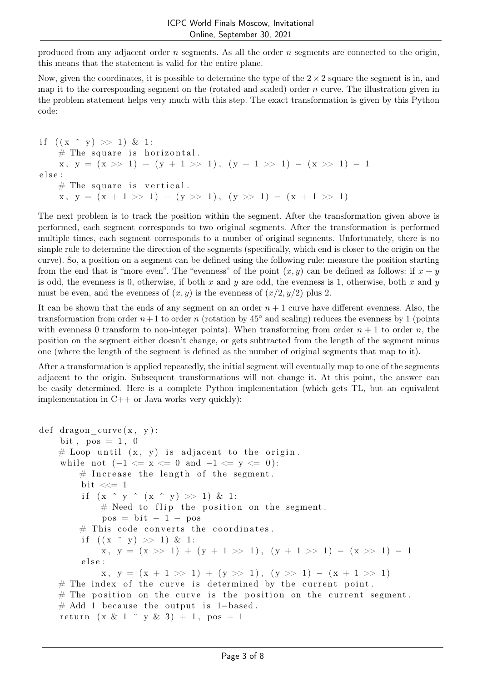produced from any adjacent order  $n$  segments. As all the order  $n$  segments are connected to the origin, this means that the statement is valid for the entire plane.

Now, given the coordinates, it is possible to determine the type of the  $2 \times 2$  square the segment is in, and map it to the corresponding segment on the (rotated and scaled) order  $n$  curve. The illustration given in the problem statement helps very much with this step. The exact transformation is given by this Python code:

if  $((x \cap y) >> 1) \& 1$ :  $#$  The square is horizontal.  $x, y = (x \gg 1) + (y + 1 \gg 1), (y + 1 \gg 1) - (x \gg 1) - 1$ e l s e :  $#$  The square is vertical.  $x, y = (x + 1 \gg 1) + (y \gg 1), (y \gg 1) - (x + 1 \gg 1)$ 

The next problem is to track the position within the segment. After the transformation given above is performed, each segment corresponds to two original segments. After the transformation is performed multiple times, each segment corresponds to a number of original segments. Unfortunately, there is no simple rule to determine the direction of the segments (specifically, which end is closer to the origin on the curve). So, a position on a segment can be defined using the following rule: measure the position starting from the end that is "more even". The "evenness" of the point  $(x, y)$  can be defined as follows: if  $x + y$ is odd, the evenness is 0, otherwise, if both x and y are odd, the evenness is 1, otherwise, both x and y must be even, and the evenness of  $(x, y)$  is the evenness of  $(x/2, y/2)$  plus 2.

It can be shown that the ends of any segment on an order  $n + 1$  curve have different evenness. Also, the transformation from order  $n+1$  to order n (rotation by 45° and scaling) reduces the evenness by 1 (points with evenness 0 transform to non-integer points). When transforming from order  $n + 1$  to order n, the position on the segment either doesn't change, or gets subtracted from the length of the segment minus one (where the length of the segment is defined as the number of original segments that map to it).

After a transformation is applied repeatedly, the initial segment will eventually map to one of the segments adjacent to the origin. Subsequent transformations will not change it. At this point, the answer can be easily determined. Here is a complete Python implementation (which gets TL, but an equivalent implementation in  $C++$  or Java works very quickly):

```
def dragon curve(x, y):
bit, pos = 1, 0# Loop until (x, y) is adjacent to the origin.
while not (-1 \le x \le 0 \text{ and } -1 \le y \le 0):
    # Increase the length of the segment.
    bit \ll=1if (x \hat{y} (x \hat{y}) > 1) & 1:
        # Need to flip the position on the segment.
        pos = bit - 1 - pos# This code converts the coordinates.
    if ((x \t y) >> 1) \& 1:
        x, y = (x \gg 1) + (y + 1 \gg 1), (y + 1 \gg 1) - (x \gg 1) - 1else :
        x, y = (x + 1 \gg 1) + (y \gg 1), (y \gg 1) - (x + 1 \gg 1)# The index of the curve is determined by the current point.
# The position on the curve is the position on the current segment.
# Add 1 because the output is 1-based.
return (x \& 1 \land y \& 3) + 1, pos + 1
```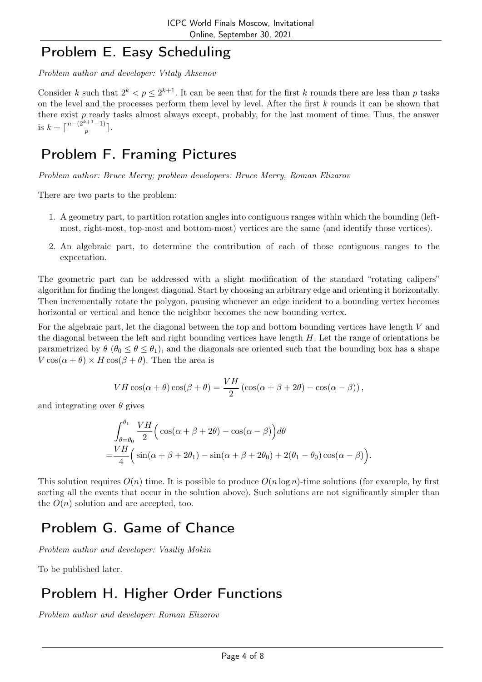#### Problem E. Easy Scheduling

Problem author and developer: Vitaly Aksenov

Consider k such that  $2^k < p \leq 2^{k+1}$ . It can be seen that for the first k rounds there are less than p tasks on the level and the processes perform them level by level. After the first  $k$  rounds it can be shown that there exist p ready tasks almost always except, probably, for the last moment of time. Thus, the answer is  $k + \lceil \frac{n-(2^{k+1}-1)}{n} \rceil$  $\frac{p^{(n+1)}-1}{p}$ .

## Problem F. Framing Pictures

Problem author: Bruce Merry; problem developers: Bruce Merry, Roman Elizarov

There are two parts to the problem:

- 1. A geometry part, to partition rotation angles into contiguous ranges within which the bounding (leftmost, right-most, top-most and bottom-most) vertices are the same (and identify those vertices).
- 2. An algebraic part, to determine the contribution of each of those contiguous ranges to the expectation.

The geometric part can be addressed with a slight modification of the standard "rotating calipers" algorithm for finding the longest diagonal. Start by choosing an arbitrary edge and orienting it horizontally. Then incrementally rotate the polygon, pausing whenever an edge incident to a bounding vertex becomes horizontal or vertical and hence the neighbor becomes the new bounding vertex.

For the algebraic part, let the diagonal between the top and bottom bounding vertices have length V and the diagonal between the left and right bounding vertices have length  $H$ . Let the range of orientations be parametrized by  $\theta$  ( $\theta_0 \le \theta \le \theta_1$ ), and the diagonals are oriented such that the bounding box has a shape  $V \cos(\alpha + \theta) \times H \cos(\beta + \theta)$ . Then the area is

$$
VH\cos(\alpha+\theta)\cos(\beta+\theta) = \frac{VH}{2}(\cos(\alpha+\beta+2\theta)-\cos(\alpha-\beta)),
$$

and integrating over  $\theta$  gives

=

$$
\int_{\theta=\theta_0}^{\theta_1} \frac{VH}{2} \Big( \cos(\alpha+\beta+2\theta) - \cos(\alpha-\beta) \Big) d\theta
$$
  
= 
$$
\frac{VH}{4} \Big( \sin(\alpha+\beta+2\theta_1) - \sin(\alpha+\beta+2\theta_0) + 2(\theta_1-\theta_0) \cos(\alpha-\beta) \Big).
$$

This solution requires  $O(n)$  time. It is possible to produce  $O(n \log n)$ -time solutions (for example, by first sorting all the events that occur in the solution above). Such solutions are not significantly simpler than the  $O(n)$  solution and are accepted, too.

# Problem G. Game of Chance

Problem author and developer: Vasiliy Mokin

To be published later.

# Problem H. Higher Order Functions

Problem author and developer: Roman Elizarov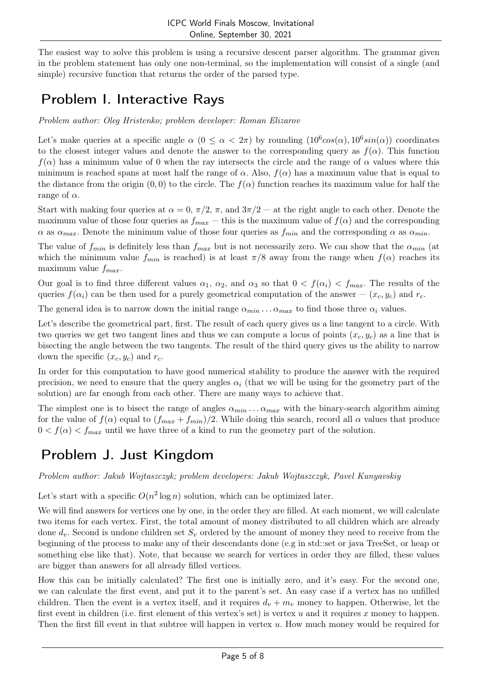The easiest way to solve this problem is using a recursive descent parser algorithm. The grammar given in the problem statement has only one non-terminal, so the implementation will consist of a single (and simple) recursive function that returns the order of the parsed type.

## Problem I. Interactive Rays

Problem author: Oleg Hristenko; problem developer: Roman Elizarov

Let's make queries at a specific angle  $\alpha$   $(0 \le \alpha < 2\pi)$  by rounding  $(10^6 cos(\alpha), 10^6 sin(\alpha))$  coordinates to the closest integer values and denote the answer to the corresponding query as  $f(\alpha)$ . This function  $f(\alpha)$  has a minimum value of 0 when the ray intersects the circle and the range of  $\alpha$  values where this minimum is reached spans at most half the range of  $\alpha$ . Also,  $f(\alpha)$  has a maximum value that is equal to the distance from the origin  $(0, 0)$  to the circle. The  $f(\alpha)$  function reaches its maximum value for half the range of  $\alpha$ .

Start with making four queries at  $\alpha = 0$ ,  $\pi/2$ ,  $\pi$ , and  $3\pi/2$  — at the right angle to each other. Denote the maximum value of those four queries as  $f_{max}$  — this is the maximum value of  $f(\alpha)$  and the corresponding  $\alpha$  as  $\alpha_{max}$ . Denote the minimum value of those four queries as  $f_{min}$  and the corresponding  $\alpha$  as  $\alpha_{min}$ .

The value of  $f_{min}$  is definitely less than  $f_{max}$  but is not necessarily zero. We can show that the  $\alpha_{min}$  (at which the minimum value  $f_{min}$  is reached) is at least  $\pi/8$  away from the range when  $f(\alpha)$  reaches its maximum value  $f_{max}$ .

Our goal is to find three different values  $\alpha_1, \alpha_2$ , and  $\alpha_3$  so that  $0 < f(\alpha_i) < f_{max}$ . The results of the queries  $f(\alpha_i)$  can be then used for a purely geometrical computation of the answer  $-(x_c, y_c)$  and  $r_c$ .

The general idea is to narrow down the initial range  $\alpha_{min} \ldots \alpha_{max}$  to find those three  $\alpha_i$  values.

Let's describe the geometrical part, first. The result of each query gives us a line tangent to a circle. With two queries we get two tangent lines and thus we can compute a locus of points  $(x_c, y_c)$  as a line that is bisecting the angle between the two tangents. The result of the third query gives us the ability to narrow down the specific  $(x_c, y_c)$  and  $r_c$ .

In order for this computation to have good numerical stability to produce the answer with the required precision, we need to ensure that the query angles  $\alpha_i$  (that we will be using for the geometry part of the solution) are far enough from each other. There are many ways to achieve that.

The simplest one is to bisect the range of angles  $\alpha_{min} \ldots \alpha_{max}$  with the binary-search algorithm aiming for the value of  $f(\alpha)$  equal to  $(f_{max} + f_{min})/2$ . While doing this search, record all  $\alpha$  values that produce  $0 < f(\alpha) < f_{max}$  until we have three of a kind to run the geometry part of the solution.

## Problem J. Just Kingdom

Problem author: Jakub Wojtaszczyk; problem developers: Jakub Wojtaszczyk, Pavel Kunyavskiy

Let's start with a specific  $O(n^2 \log n)$  solution, which can be optimized later.

We will find answers for vertices one by one, in the order they are filled. At each moment, we will calculate two items for each vertex. First, the total amount of money distributed to all children which are already done  $d_v$ . Second is undone children set  $S_v$  ordered by the amount of money they need to receive from the beginning of the process to make any of their descendants done (e.g in std::set or java TreeSet, or heap or something else like that). Note, that because we search for vertices in order they are filled, these values are bigger than answers for all already filled vertices.

How this can be initially calculated? The first one is initially zero, and it's easy. For the second one, we can calculate the first event, and put it to the parent's set. An easy case if a vertex has no unfilled children. Then the event is a vertex itself, and it requires  $d_v + m_v$  money to happen. Otherwise, let the first event in children (i.e. first element of this vertex's set) is vertex u and it requires x money to happen. Then the first fill event in that subtree will happen in vertex u. How much money would be required for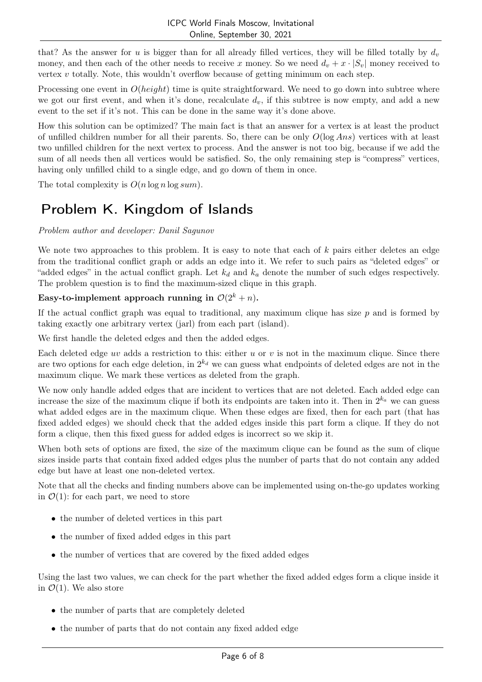that? As the answer for u is bigger than for all already filled vertices, they will be filled totally by  $d<sub>v</sub>$ money, and then each of the other needs to receive x money. So we need  $d_v + x \cdot |S_v|$  money received to vertex  $v$  totally. Note, this wouldn't overflow because of getting minimum on each step.

Processing one event in  $O(height)$  time is quite straightforward. We need to go down into subtree where we got our first event, and when it's done, recalculate  $d_v$ , if this subtree is now empty, and add a new event to the set if it's not. This can be done in the same way it's done above.

How this solution can be optimized? The main fact is that an answer for a vertex is at least the product of unfilled children number for all their parents. So, there can be only  $O(\log Ans)$  vertices with at least two unfilled children for the next vertex to process. And the answer is not too big, because if we add the sum of all needs then all vertices would be satisfied. So, the only remaining step is "compress" vertices, having only unfilled child to a single edge, and go down of them in once.

The total complexity is  $O(n \log n \log sum)$ .

# Problem K. Kingdom of Islands

#### Problem author and developer: Danil Sagunov

We note two approaches to this problem. It is easy to note that each of  $k$  pairs either deletes an edge from the traditional conflict graph or adds an edge into it. We refer to such pairs as "deleted edges" or "added edges" in the actual conflict graph. Let  $k_d$  and  $k_a$  denote the number of such edges respectively. The problem question is to find the maximum-sized clique in this graph.

#### Easy-to-implement approach running in  $\mathcal{O}(2^k + n)$ .

If the actual conflict graph was equal to traditional, any maximum clique has size  $p$  and is formed by taking exactly one arbitrary vertex (jarl) from each part (island).

We first handle the deleted edges and then the added edges.

Each deleted edge uv adds a restriction to this: either u or v is not in the maximum clique. Since there are two options for each edge deletion, in  $2^{k_d}$  we can guess what endpoints of deleted edges are not in the maximum clique. We mark these vertices as deleted from the graph.

We now only handle added edges that are incident to vertices that are not deleted. Each added edge can increase the size of the maximum clique if both its endpoints are taken into it. Then in  $2^{k_a}$  we can guess what added edges are in the maximum clique. When these edges are fixed, then for each part (that has fixed added edges) we should check that the added edges inside this part form a clique. If they do not form a clique, then this fixed guess for added edges is incorrect so we skip it.

When both sets of options are fixed, the size of the maximum clique can be found as the sum of clique sizes inside parts that contain fixed added edges plus the number of parts that do not contain any added edge but have at least one non-deleted vertex.

Note that all the checks and finding numbers above can be implemented using on-the-go updates working in  $\mathcal{O}(1)$ : for each part, we need to store

- the number of deleted vertices in this part
- the number of fixed added edges in this part
- the number of vertices that are covered by the fixed added edges

Using the last two values, we can check for the part whether the fixed added edges form a clique inside it in  $\mathcal{O}(1)$ . We also store

- the number of parts that are completely deleted
- the number of parts that do not contain any fixed added edge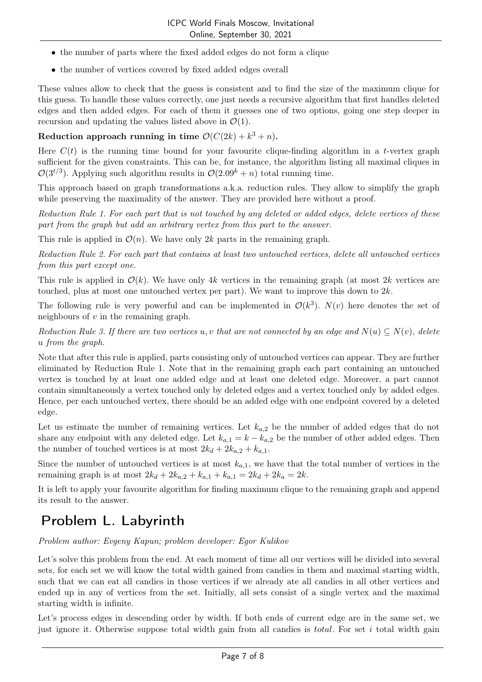- the number of parts where the fixed added edges do not form a clique
- the number of vertices covered by fixed added edges overall

These values allow to check that the guess is consistent and to find the size of the maximum clique for this guess. To handle these values correctly, one just needs a recursive algorithm that first handles deleted edges and then added edges. For each of them it guesses one of two options, going one step deeper in recursion and updating the values listed above in  $\mathcal{O}(1)$ .

#### Reduction approach running in time  $\mathcal{O}(C(2k) + k^3 + n)$ .

Here  $C(t)$  is the running time bound for your favourite clique-finding algorithm in a t-vertex graph sufficient for the given constraints. This can be, for instance, the algorithm listing all maximal cliques in  $\mathcal{O}(3^{t/3})$ . Applying such algorithm results in  $\mathcal{O}(2.09^k + n)$  total running time.

This approach based on graph transformations a.k.a. reduction rules. They allow to simplify the graph while preserving the maximality of the answer. They are provided here without a proof.

Reduction Rule 1. For each part that is not touched by any deleted or added edges, delete vertices of these part from the graph but add an arbitrary vertex from this part to the answer.

This rule is applied in  $\mathcal{O}(n)$ . We have only 2k parts in the remaining graph.

Reduction Rule 2. For each part that contains at least two untouched vertices, delete all untouched vertices from this part except one.

This rule is applied in  $\mathcal{O}(k)$ . We have only 4k vertices in the remaining graph (at most 2k vertices are touched, plus at most one untouched vertex per part). We want to improve this down to 2k.

The following rule is very powerful and can be implemented in  $\mathcal{O}(k^3)$ .  $N(v)$  here denotes the set of neighbours of  $v$  in the remaining graph.

Reduction Rule 3. If there are two vertices u, v that are not connected by an edge and  $N(u) \subseteq N(v)$ , delete u from the graph.

Note that after this rule is applied, parts consisting only of untouched vertices can appear. They are further eliminated by Reduction Rule 1. Note that in the remaining graph each part containing an untouched vertex is touched by at least one added edge and at least one deleted edge. Moreover, a part cannot contain simultaneously a vertex touched only by deleted edges and a vertex touched only by added edges. Hence, per each untouched vertex, there should be an added edge with one endpoint covered by a deleted edge.

Let us estimate the number of remaining vertices. Let  $k_{a,2}$  be the number of added edges that do not share any endpoint with any deleted edge. Let  $k_{a,1} = k - k_{a,2}$  be the number of other added edges. Then the number of touched vertices is at most  $2k_d + 2k_{a,2} + k_{a,1}$ .

Since the number of untouched vertices is at most  $k_{a,1}$ , we have that the total number of vertices in the remaining graph is at most  $2k_d + 2k_{a,2} + k_{a,1} + k_{a,1} = 2k_d + 2k_a = 2k$ .

It is left to apply your favourite algorithm for finding maximum clique to the remaining graph and append its result to the answer.

### Problem L. Labyrinth

Problem author: Evgeny Kapun; problem developer: Egor Kulikov

Let's solve this problem from the end. At each moment of time all our vertices will be divided into several sets, for each set we will know the total width gained from candies in them and maximal starting width, such that we can eat all candies in those vertices if we already ate all candies in all other vertices and ended up in any of vertices from the set. Initially, all sets consist of a single vertex and the maximal starting width is infinite.

Let's process edges in descending order by width. If both ends of current edge are in the same set, we just ignore it. Otherwise suppose total width gain from all candies is *total*. For set i total width gain